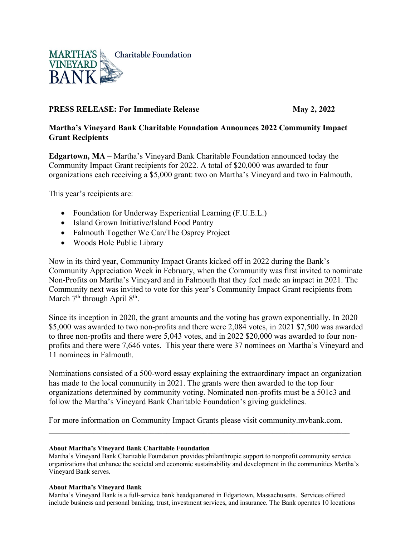

# **PRESS RELEASE: For Immediate Release May 2, 2022**

# **Martha's Vineyard Bank Charitable Foundation Announces 2022 Community Impact Grant Recipients**

**Edgartown, MA** – Martha's Vineyard Bank Charitable Foundation announced today the Community Impact Grant recipients for 2022. A total of \$20,000 was awarded to four organizations each receiving a \$5,000 grant: two on Martha's Vineyard and two in Falmouth.

This year's recipients are:

- Foundation for Underway Experiential Learning (F.U.E.L.)
- Island Grown Initiative/Island Food Pantry
- Falmouth Together We Can/The Osprey Project
- Woods Hole Public Library

Now in its third year, Community Impact Grants kicked off in 2022 during the Bank's Community Appreciation Week in February, when the Community was first invited to nominate Non-Profits on Martha's Vineyard and in Falmouth that they feel made an impact in 2021. The Community next was invited to vote for this year's Community Impact Grant recipients from March 7<sup>th</sup> through April 8<sup>th</sup>.

Since its inception in 2020, the grant amounts and the voting has grown exponentially. In 2020 \$5,000 was awarded to two non-profits and there were 2,084 votes, in 2021 \$7,500 was awarded to three non-profits and there were 5,043 votes, and in 2022 \$20,000 was awarded to four nonprofits and there were 7,646 votes. This year there were 37 nominees on Martha's Vineyard and 11 nominees in Falmouth.

Nominations consisted of a 500-word essay explaining the extraordinary impact an organization has made to the local community in 2021. The grants were then awarded to the top four organizations determined by community voting. Nominated non-profits must be a 501c3 and follow the Martha's Vineyard Bank Charitable Foundation's giving guidelines.

For more information on Community Impact Grants please visit community.mvbank.com. \_\_\_\_\_\_\_\_\_\_\_\_\_\_\_\_\_\_\_\_\_\_\_\_\_\_\_\_\_\_\_\_\_\_\_\_\_\_\_\_\_\_\_\_\_\_\_\_\_\_\_\_\_\_\_\_\_\_\_\_\_\_\_\_\_\_\_\_\_\_\_\_\_\_

### **About Martha's Vineyard Bank Charitable Foundation**

Martha's Vineyard Bank Charitable Foundation provides philanthropic support to nonprofit community service organizations that enhance the societal and economic sustainability and development in the communities Martha's Vineyard Bank serves.

### **About Martha's Vineyard Bank**

Martha's Vineyard Bank is a full-service bank headquartered in Edgartown, Massachusetts. Services offered include business and personal banking, trust, investment services, and insurance. The Bank operates 10 locations